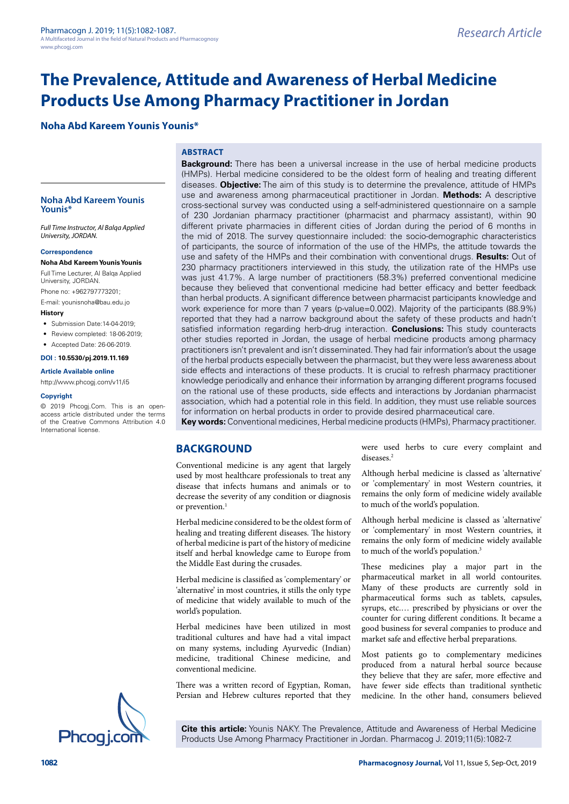# **The Prevalence, Attitude and Awareness of Herbal Medicine Products Use Among Pharmacy Practitioner in Jordan**

# **Noha Abd Kareem Younis Younis\***

## **ABSTRACT**

**Noha Abd Kareem Younis Younis\***

*Full Time Instructor, Al Balqa Applied University, JORDAN.*

#### **Correspondence**

**Noha Abd Kareem Younis Younis** Full Time Lecturer, Al Balqa Applied University, JORDAN.

Phone no: +962797773201;

E-mail: [younisnoha@bau.edu.jo](mailto:younisnoha@bau.edu.jo)

#### **History**

• Submission Date: 14-04-2019;

- Review completed: 18-06-2019;
- Accepted Date: 26-06-2019.

**DOI : 10.5530/pj.2019.11.169**

#### **Article Available online**

[http://www.phcogj.com/v11/i](http://www.phcogj.com/v11/i3)5

#### **Copyright**

© 2019 Phcogj.Com. This is an openaccess article distributed under the terms of the Creative Commons Attribution 4.0 International license.



**Key words:** Conventional medicines, Herbal medicine products (HMPs), Pharmacy practitioner.

## **BACKGROUND**

Conventional medicine is any agent that largely used by most healthcare professionals to treat any disease that infects humans and animals or to decrease the severity of any condition or diagnosis or prevention.<sup>1</sup>

Herbal medicine considered to be the oldest form of healing and treating different diseases. The history of herbal medicine is part of the history of medicine itself and herbal knowledge came to Europe from the Middle East during the crusades.

Herbal medicine is classified as 'complementary' or 'alternative' in most countries, it stills the only type of medicine that widely available to much of the world's population.

Herbal medicines have been utilized in most traditional cultures and have had a vital impact on many systems, including Ayurvedic (Indian) medicine, traditional Chinese medicine, and conventional medicine.

There was a written record of Egyptian, Roman, Persian and Hebrew cultures reported that they were used herbs to cure every complaint and diseases<sup>2</sup>

Although herbal medicine is classed as 'alternative' or 'complementary' in most Western countries, it remains the only form of medicine widely available to much of the world's population.

Although herbal medicine is classed as 'alternative' or 'complementary' in most Western countries, it remains the only form of medicine widely available to much of the world's population.<sup>3</sup>

These medicines play a major part in the pharmaceutical market in all world contourites. Many of these products are currently sold in pharmaceutical forms such as tablets, capsules, syrups, etc.… prescribed by physicians or over the counter for curing different conditions. It became a good business for several companies to produce and market safe and effective herbal preparations.

Most patients go to complementary medicines produced from a natural herbal source because they believe that they are safer, more effective and have fewer side effects than traditional synthetic medicine. In the other hand, consumers believed

**Cite this article:** Younis NAKY. The Prevalence, Attitude and Awareness of Herbal Medicine Products Use Among Pharmacy Practitioner in Jordan. Pharmacog J. 2019;11(5):1082-7.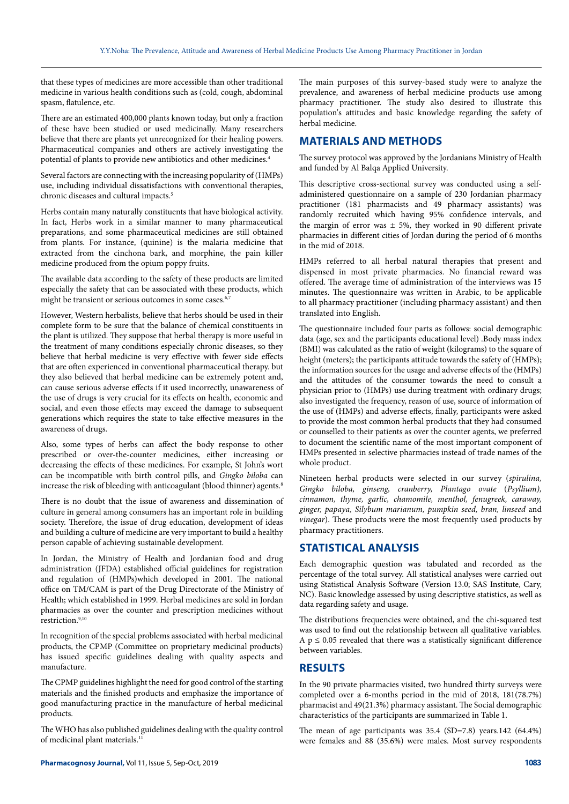that these types of medicines are more accessible than other traditional medicine in various health conditions such as (cold, cough, abdominal spasm, flatulence, etc.

There are an estimated 400,000 plants known today, but only a fraction of these have been studied or used medicinally. Many researchers believe that there are plants yet unrecognized for their healing powers. Pharmaceutical companies and others are actively investigating the potential of plants to provide new antibiotics and other medicines.4

Several factors are connecting with the increasing popularity of (HMPs) use, including individual dissatisfactions with conventional therapies, chronic diseases and cultural impacts.5

Herbs contain many naturally constituents that have biological activity. In fact, Herbs work in a similar manner to many pharmaceutical preparations, and some pharmaceutical medicines are still obtained from plants. For instance, (quinine) is the malaria medicine that extracted from the cinchona bark, and morphine, the pain killer medicine produced from the opium poppy fruits.

The available data according to the safety of these products are limited especially the safety that can be associated with these products, which might be transient or serious outcomes in some cases.<sup>6,7</sup>

However, Western herbalists, believe that herbs should be used in their complete form to be sure that the balance of chemical constituents in the plant is utilized. They suppose that herbal therapy is more useful in the treatment of many conditions especially chronic diseases, so they believe that herbal medicine is very effective with fewer side effects that are often experienced in conventional pharmaceutical therapy. but they also believed that herbal medicine can be extremely potent and, can cause serious adverse effects if it used incorrectly, unawareness of the use of drugs is very crucial for its effects on health, economic and social, and even those effects may exceed the damage to subsequent generations which requires the state to take effective measures in the awareness of drugs.

Also, some types of herbs can affect the body response to other prescribed or over-the-counter medicines, either increasing or decreasing the effects of these medicines. For example, St John's wort can be incompatible with birth control pills, and *Gingko biloba* can increase the risk of bleeding with anticoagulant (blood thinner) agents.<sup>8</sup>

There is no doubt that the issue of awareness and dissemination of culture in general among consumers has an important role in building society. Therefore, the issue of drug education, development of ideas and building a culture of medicine are very important to build a healthy person capable of achieving sustainable development.

In Jordan, the Ministry of Health and Jordanian food and drug administration (JFDA) established official guidelines for registration and regulation of (HMPs)which developed in 2001. The national office on TM/CAM is part of the Drug Directorate of the Ministry of Health; which established in 1999. Herbal medicines are sold in Jordan pharmacies as over the counter and prescription medicines without restriction.9,10

In recognition of the special problems associated with herbal medicinal products, the CPMP (Committee on proprietary medicinal products) has issued specific guidelines dealing with quality aspects and manufacture.

The CPMP guidelines highlight the need for good control of the starting materials and the finished products and emphasize the importance of good manufacturing practice in the manufacture of herbal medicinal products.

The WHO has also published guidelines dealing with the quality control of medicinal plant materials.<sup>1</sup>

The main purposes of this survey-based study were to analyze the prevalence, and awareness of herbal medicine products use among pharmacy practitioner. The study also desired to illustrate this population's attitudes and basic knowledge regarding the safety of herbal medicine.

## **MATERIALS AND METHODS**

The survey protocol was approved by the Jordanians Ministry of Health and funded by Al Balqa Applied University.

This descriptive cross-sectional survey was conducted using a selfadministered questionnaire on a sample of 230 Jordanian pharmacy practitioner (181 pharmacists and 49 pharmacy assistants) was randomly recruited which having 95% confidence intervals, and the margin of error was  $\pm$  5%, they worked in 90 different private pharmacies in different cities of Jordan during the period of 6 months in the mid of 2018.

HMPs referred to all herbal natural therapies that present and dispensed in most private pharmacies. No financial reward was offered. The average time of administration of the interviews was 15 minutes. The questionnaire was written in Arabic, to be applicable to all pharmacy practitioner (including pharmacy assistant) and then translated into English.

The questionnaire included four parts as follows: social demographic data (age, sex and the participants educational level) .Body mass index (BMI) was calculated as the ratio of weight (kilograms) to the square of height (meters); the participants attitude towards the safety of (HMPs); the information sources for the usage and adverse effects of the (HMPs) and the attitudes of the consumer towards the need to consult a physician prior to (HMPs) use during treatment with ordinary drugs; also investigated the frequency, reason of use, source of information of the use of (HMPs) and adverse effects, finally, participants were asked to provide the most common herbal products that they had consumed or counselled to their patients as over the counter agents, we preferred to document the scientific name of the most important component of HMPs presented in selective pharmacies instead of trade names of the whole product.

Nineteen herbal products were selected in our survey (*spirulina, Gingko biloba, ginseng, cranberry, Plantago ovate* (*Psyllium), cinnamon, thyme, garlic, chamomile, menthol, fenugreek, caraway, ginger, papaya, Silybum marianum, pumpkin seed, bran, linseed* and *vinegar*). These products were the most frequently used products by pharmacy practitioners.

# **STATISTICAL ANALYSIS**

Each demographic question was tabulated and recorded as the percentage of the total survey. All statistical analyses were carried out using Statistical Analysis Software (Version 13.0; SAS Institute, Cary, NC). Basic knowledge assessed by using descriptive statistics, as well as data regarding safety and usage.

The distributions frequencies were obtained, and the chi-squared test was used to find out the relationship between all qualitative variables. A  $p \leq 0.05$  revealed that there was a statistically significant difference between variables.

# **RESULTS**

In the 90 private pharmacies visited, two hundred thirty surveys were completed over a 6-months period in the mid of 2018, 181(78.7%) pharmacist and 49(21.3%) pharmacy assistant. The Social demographic characteristics of the participants are summarized in Table 1.

The mean of age participants was 35.4 (SD=7.8) years.142 (64.4%) were females and 88 (35.6%) were males. Most survey respondents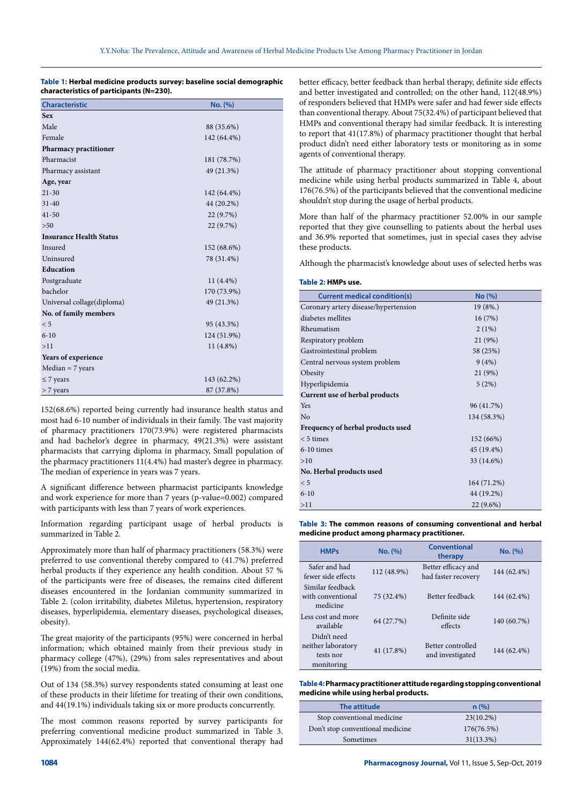### **Table 1: Herbal medicine products survey: baseline social demographic characteristics of participants (N=230).**

| <b>Characteristic</b>          | No. (%)     |
|--------------------------------|-------------|
| <b>Sex</b>                     |             |
| Male                           | 88 (35.6%)  |
| Female                         | 142 (64.4%) |
| Pharmacy practitioner          |             |
| Pharmacist                     | 181 (78.7%) |
| Pharmacy assistant             | 49 (21.3%)  |
| Age, year                      |             |
| $21 - 30$                      | 142 (64.4%) |
| $31 - 40$                      | 44 (20.2%)  |
| $41 - 50$                      | 22 (9.7%)   |
| $>50$                          | 22 (9.7%)   |
| <b>Insurance Health Status</b> |             |
| Insured                        | 152 (68.6%) |
| Uninsured                      | 78 (31.4%)  |
| Education                      |             |
| Postgraduate                   | $11(4.4\%)$ |
| bachelor                       | 170 (73.9%) |
| Universal collage(diploma)     | 49 (21.3%)  |
| No. of family members          |             |
| < 5                            | 95 (43.3%)  |
| $6 - 10$                       | 124 (51.9%) |
| >11                            | $11(4.8\%)$ |
| Years of experience            |             |
| $Median = 7 years$             |             |
| $\leq$ 7 years                 | 143 (62.2%) |
| $> 7$ years                    | 87 (37.8%)  |

152(68.6%) reported being currently had insurance health status and most had 6-10 number of individuals in their family. The vast majority of pharmacy practitioners 170(73.9%) were registered pharmacists and had bachelor's degree in pharmacy, 49(21.3%) were assistant pharmacists that carrying diploma in pharmacy, Small population of the pharmacy practitioners 11(4.4%) had master's degree in pharmacy. The median of experience in years was 7 years.

A significant difference between pharmacist participants knowledge and work experience for more than 7 years (p-value=0.002) compared with participants with less than 7 years of work experiences.

Information regarding participant usage of herbal products is summarized in Table 2.

Approximately more than half of pharmacy practitioners (58.3%) were preferred to use conventional thereby compared to (41.7%) preferred herbal products if they experience any health condition. About 57 % of the participants were free of diseases, the remains cited different diseases encountered in the Jordanian community summarized in Table 2. (colon irritability, diabetes Miletus, hypertension, respiratory diseases, hyperlipidemia, elementary diseases, psychological diseases, obesity).

The great majority of the participants (95%) were concerned in herbal information; which obtained mainly from their previous study in pharmacy college (47%), (29%) from sales representatives and about (19%) from the social media.

Out of 134 (58.3%) survey respondents stated consuming at least one of these products in their lifetime for treating of their own conditions, and 44(19.1%) individuals taking six or more products concurrently.

The most common reasons reported by survey participants for preferring conventional medicine product summarized in Table 3. Approximately 144(62.4%) reported that conventional therapy had better efficacy, better feedback than herbal therapy, definite side effects and better investigated and controlled; on the other hand, 112(48.9%) of responders believed that HMPs were safer and had fewer side effects than conventional therapy. About 75(32.4%) of participant believed that HMPs and conventional therapy had similar feedback. It is interesting to report that 41(17.8%) of pharmacy practitioner thought that herbal product didn't need either laboratory tests or monitoring as in some agents of conventional therapy.

The attitude of pharmacy practitioner about stopping conventional medicine while using herbal products summarized in Table 4, about 176(76.5%) of the participants believed that the conventional medicine shouldn't stop during the usage of herbal products.

More than half of the pharmacy practitioner 52.00% in our sample reported that they give counselling to patients about the herbal uses and 36.9% reported that sometimes, just in special cases they advise these products.

Although the pharmacist's knowledge about uses of selected herbs was

#### **Table 2: HMPs use.**

| <b>Current medical condition(s)</b>  | No (%)      |  |
|--------------------------------------|-------------|--|
| Coronary artery disease/hypertension | $19(8\%)$   |  |
| diabetes mellites                    | 16(7%)      |  |
| Rheumatism                           | 2(1%)       |  |
| Respiratory problem                  | 21 (9%)     |  |
| Gastrointestinal problem             | 58 (25%)    |  |
| Central nervous system problem       | 9(4%)       |  |
| Obesity                              | 21 (9%)     |  |
| Hyperlipidemia                       | 5(2%)       |  |
| Current use of herbal products       |             |  |
| <b>Yes</b>                           | 96 (41.7%)  |  |
| No                                   | 134 (58.3%) |  |
| Frequency of herbal products used    |             |  |
| $< 5$ times                          | 152 (66%)   |  |
| $6-10$ times                         | 45 (19.4%)  |  |
| >10                                  | 33 (14.6%)  |  |
| No. Herbal products used             |             |  |
| < 5                                  | 164 (71.2%) |  |
| $6 - 10$                             | 44 (19.2%)  |  |
| >11                                  | 22 (9.6%)   |  |

**Table 3: The common reasons of consuming conventional and herbal medicine product among pharmacy practitioner.**

| <b>HMPs</b>                                                  | No. (%)     | Conventional<br>therapy                    | No. (%)     |
|--------------------------------------------------------------|-------------|--------------------------------------------|-------------|
| Safer and had<br>fewer side effects                          | 112 (48.9%) | Better efficacy and<br>had faster recovery | 144 (62.4%) |
| Similar feedback<br>with conventional<br>medicine            | 75 (32.4%)  | Better feedback                            | 144 (62.4%) |
| Less cost and more<br>available                              | 64 (27.7%)  | Definite side<br>effects                   | 140 (60.7%) |
| Didn't need<br>neither laboratory<br>tests nor<br>monitoring | 41 (17.8%)  | Better controlled<br>and investigated      | 144 (62.4%) |

### **Table 4: Pharmacy practitioner attitude regarding stopping conventional medicine while using herbal products.**

| The attitude                     | n(%)         |
|----------------------------------|--------------|
| Stop conventional medicine       | $23(10.2\%)$ |
| Don't stop conventional medicine | 176(76.5%)   |
| Sometimes                        | $31(13.3\%)$ |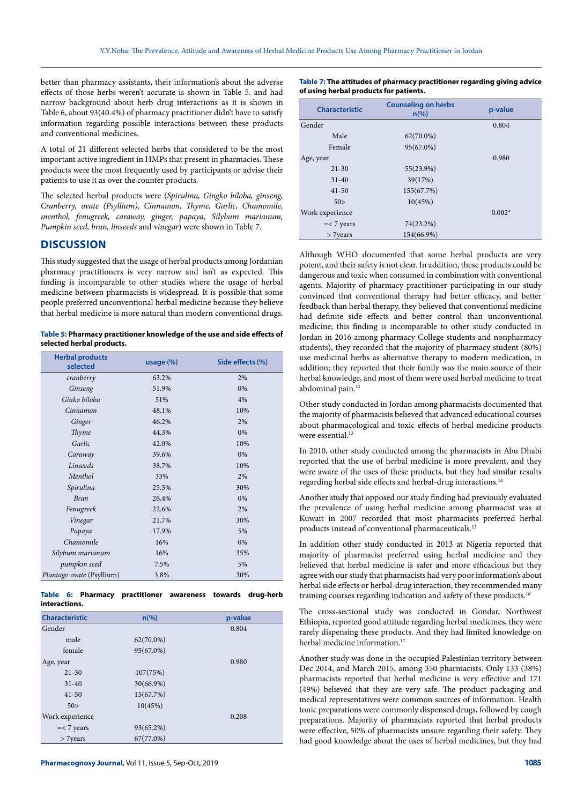better than pharmacy assistants, their information's about the adverse effects of those herbs weren't accurate is shown in Table 5. and had narrow background about herb drug interactions as it is shown in Table 6, about 93(40.4%) of pharmacy practitioner didn't have to satisfy information regarding possible interactions between these products and conventional medicines.

A total of 21 different selected herbs that considered to be the most important active ingredient in HMPs that present in pharmacies. These products were the most frequently used by participants or advise their patients to use it as over the counter products.

The selected herbal products were (*Spirulina, Gingko biloba, ginseng, Cranberry, ovate (Psyllium), Cinnamon, Thyme, Garlic, Chamomile, menthol, fenugreek, caraway, ginger, papaya, Silybum marianum, Pumpkin seed, bran, linseeds* and *vinegar*) were shown in Table 7.

## **DISCUSSION**

This study suggested that the usage of herbal products among Jordanian pharmacy practitioners is very narrow and isn't as expected. This finding is incomparable to other studies where the usage of herbal medicine between pharmacists is widespread. It is possible that some people preferred unconventional herbal medicine because they believe that herbal medicine is more natural than modern conventional drugs.

**Table 5: Pharmacy practitioner knowledge of the use and side effects of selected herbal products.**

| <b>Herbal products</b><br>selected | usage $(\%)$ | Side effects (%) |
|------------------------------------|--------------|------------------|
| cranberry                          | 63.2%        | 2%               |
| Ginseng                            | 51.9%        | 0%               |
| Ginko biloba                       | 51%          | 4%               |
| Cinnamon                           | 48.1%        | 10%              |
| Ginger                             | 46.2%        | 2%               |
| Thyme                              | 44.3%        | 0%               |
| Garlic                             | 42.0%        | 10%              |
| Caraway                            | 39.6%        | 0%               |
| Linseeds                           | 38.7%        | 10%              |
| Menthol                            | 33%          | 2%               |
| Spirulina                          | 25.5%        | 30%              |
| <b>Bran</b>                        | 26.4%        | 0%               |
| Fenugreek                          | 22.6%        | 2%               |
| Vinegar                            | 21.7%        | 30%              |
| Papaya                             | 17.9%        | 5%               |
| Chamomile                          | 16%          | 0%               |
| Silybum marianum                   | 16%          | 35%              |
| pumpkin seed                       | 7.5%         | 5%               |
| Plantago ovate (Psyllium)          | 3.8%         | 30%              |

**Table 6: Pharmacy practitioner awareness towards drug-herb interactions.**

| <b>Characteristic</b> | $n\left(\%\right)$ | p-value |
|-----------------------|--------------------|---------|
| Gender                |                    | 0.804   |
| male                  | $62(70.0\%)$       |         |
| female                | 95(67.0%)          |         |
| Age, year             |                    | 0.980   |
| $21 - 30$             | 107(75%)           |         |
| $31 - 40$             | 30(66.9%)          |         |
| $41 - 50$             | 15(67.7%)          |         |
| 50>                   | 10(45%)            |         |
| Work experience       |                    | 0.208   |
| $=< 7 \text{ years}$  | 93(65.2%)          |         |
| > 7 years             | 67(77.0%)          |         |

**Table 7: The attitudes of pharmacy practitioner regarding giving advice of using herbal products for patients.**

| <b>Characteristic</b> | <b>Counseling on herbs</b><br>$n\frac{6}{6}$ | p-value  |
|-----------------------|----------------------------------------------|----------|
| Gender                |                                              | 0.804    |
| Male                  | $62(70.0\%)$                                 |          |
| Female                | 95(67.0%)                                    |          |
| Age, year             |                                              | 0.980    |
| $21 - 30$             | 55(23.9%)                                    |          |
| $31 - 40$             | 39(17%)                                      |          |
| $41 - 50$             | 155(67.7%)                                   |          |
| 50>                   | 10(45%)                                      |          |
| Work experience       |                                              | $0.002*$ |
| $=< 7 \text{ years}$  | 74(23.2%)                                    |          |
| $> 7$ years           | 154(66.9%)                                   |          |

Although WHO documented that some herbal products are very potent, and their safety is not clear. In addition, these products could be dangerous and toxic when consumed in combination with conventional agents. Majority of pharmacy practitioner participating in our study convinced that conventional therapy had better efficacy, and better feedback than herbal therapy, they believed that conventional medicine had definite side effects and better control than unconventional medicine; this finding is incomparable to other study conducted in Jordan in 2016 among pharmacy College students and nonpharmacy students), they recorded that the majority of pharmacy student (80%) use medicinal herbs as alternative therapy to modern medication, in addition; they reported that their family was the main source of their herbal knowledge, and most of them were used herbal medicine to treat abdominal pain.12

Other study conducted in Jordan among pharmacists documented that the majority of pharmacists believed that advanced educational courses about pharmacological and toxic effects of herbal medicine products were essential.<sup>13</sup>

In 2010, other study conducted among the pharmacists in Abu Dhabi reported that the use of herbal medicine is more prevalent, and they were aware of the uses of these products, but they had similar results regarding herbal side effects and herbal-drug interactions.14

Another study that opposed our study finding had previously evaluated the prevalence of using herbal medicine among pharmacist was at Kuwait in 2007 recorded that most pharmacists preferred herbal products instead of conventional pharmaceuticals.15

In addition other study conducted in 2013 at Nigeria reported that majority of pharmacist preferred using herbal medicine and they believed that herbal medicine is safer and more efficacious but they agree with our study that pharmacists had very poor information's about herbal side effects or herbal-drug interaction, they recommended many training courses regarding indication and safety of these products.16

The cross-sectional study was conducted in Gondar, Northwest Ethiopia, reported good attitude regarding herbal medicines, they were rarely dispensing these products. And they had limited knowledge on herbal medicine information.<sup>17</sup>

Another study was done in the occupied Palestinian territory between Dec 2014, and March 2015, among 350 pharmacists. Only 133 (38%) pharmacists reported that herbal medicine is very effective and 171 (49%) believed that they are very safe. The product packaging and medical representatives were common sources of information. Health tonic preparations were commonly dispensed drugs, followed by cough preparations. Majority of pharmacists reported that herbal products were effective, 50% of pharmacists unsure regarding their safety. They had good knowledge about the uses of herbal medicines, but they had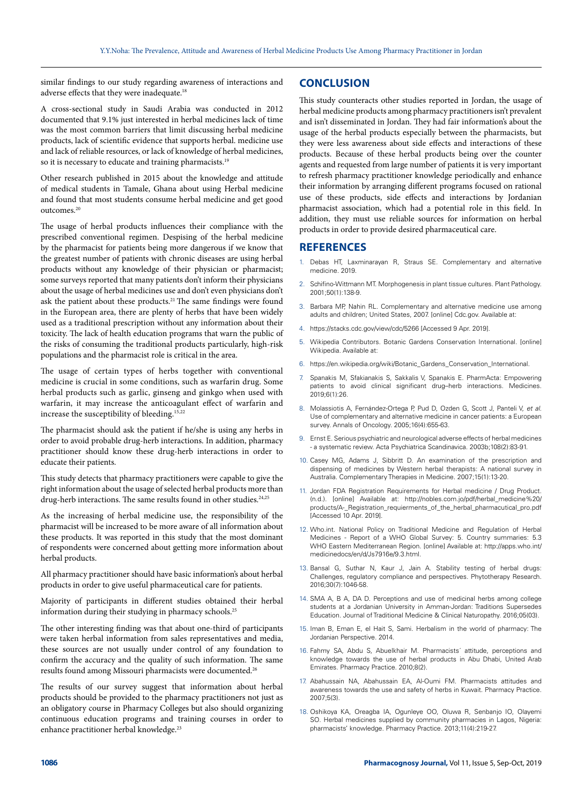similar findings to our study regarding awareness of interactions and adverse effects that they were inadequate.<sup>18</sup>

A cross-sectional study in Saudi Arabia was conducted in 2012 documented that 9.1% just interested in herbal medicines lack of time was the most common barriers that limit discussing herbal medicine products, lack of scientific evidence that supports herbal. medicine use and lack of reliable resources, or lack of knowledge of herbal medicines, so it is necessary to educate and training pharmacists.<sup>19</sup>

Other research published in 2015 about the knowledge and attitude of medical students in Tamale, Ghana about using Herbal medicine and found that most students consume herbal medicine and get good outcomes.20

The usage of herbal products influences their compliance with the prescribed conventional regimen. Despising of the herbal medicine by the pharmacist for patients being more dangerous if we know that the greatest number of patients with chronic diseases are using herbal products without any knowledge of their physician or pharmacist; some surveys reported that many patients don't inform their physicians about the usage of herbal medicines use and don't even physicians don't ask the patient about these products.<sup>21</sup> The same findings were found in the European area, there are plenty of herbs that have been widely used as a traditional prescription without any information about their toxicity. The lack of health education programs that warn the public of the risks of consuming the traditional products particularly, high-risk populations and the pharmacist role is critical in the area.

The usage of certain types of herbs together with conventional medicine is crucial in some conditions, such as warfarin drug. Some herbal products such as garlic, ginseng and ginkgo when used with warfarin, it may increase the anticoagulant effect of warfarin and increase the susceptibility of bleeding.<sup>15,22</sup>

The pharmacist should ask the patient if he/she is using any herbs in order to avoid probable drug-herb interactions. In addition, pharmacy practitioner should know these drug-herb interactions in order to educate their patients.

This study detects that pharmacy practitioners were capable to give the right information about the usage of selected herbal products more than drug-herb interactions. The same results found in other studies.<sup>24,25</sup>

As the increasing of herbal medicine use, the responsibility of the pharmacist will be increased to be more aware of all information about these products. It was reported in this study that the most dominant of respondents were concerned about getting more information about herbal products.

All pharmacy practitioner should have basic information's about herbal products in order to give useful pharmaceutical care for patients.

Majority of participants in different studies obtained their herbal information during their studying in pharmacy schools.<sup>25</sup>

The other interesting finding was that about one-third of participants were taken herbal information from sales representatives and media, these sources are not usually under control of any foundation to confirm the accuracy and the quality of such information. The same results found among Missouri pharmacists were documented.26

The results of our survey suggest that information about herbal products should be provided to the pharmacy practitioners not just as an obligatory course in Pharmacy Colleges but also should organizing continuous education programs and training courses in order to enhance practitioner herbal knowledge.<sup>23</sup>

# **CONCLUSION**

This study counteracts other studies reported in Jordan, the usage of herbal medicine products among pharmacy practitioners isn't prevalent and isn't disseminated in Jordan. They had fair information's about the usage of the herbal products especially between the pharmacists, but they were less awareness about side effects and interactions of these products. Because of these herbal products being over the counter agents and requested from large number of patients it is very important to refresh pharmacy practitioner knowledge periodically and enhance their information by arranging different programs focused on rational use of these products, side effects and interactions by Jordanian pharmacist association, which had a potential role in this field. In addition, they must use reliable sources for information on herbal products in order to provide desired pharmaceutical care.

## **REFERENCES**

- Debas HT, Laxminarayan R, Straus SE. Complementary and alternative medicine. 2019.
- 2. Schifino-Wittmann MT. Morphogenesis in plant tissue cultures. Plant Pathology. 2001;50(1):138-9.
- 3. Barbara MP, Nahin RL. Complementary and alternative medicine use among adults and children; United States, 2007. [online] Cdc.gov. Available at:
- 4. https://stacks.cdc.gov/view/cdc/5266 [Accessed 9 Apr. 2019].
- 5. Wikipedia Contributors. Botanic Gardens Conservation International. [online] Wikipedia. Available at:
- 6. [https://en.wikipedia.org/wiki/Botanic\\_Gardens\\_Conservation\\_International.](https://en.wikipedia.org/wiki/Botanic_Gardens_Conservation_International)
- 7. Spanakis M, Sfakianakis S, Sakkalis V, Spanakis E. PharmActa: Empowering patients to avoid clinical significant drug–herb interactions. Medicines. 2019;6(1):26.
- 8. Molassiotis A, Fernández-Ortega P, Pud D, Ozden G, Scott J, Panteli V, *et al*. Use of complementary and alternative medicine in cancer patients: a European survey. Annals of Oncology. 2005;16(4):655-63.
- 9. Ernst E. Serious psychiatric and neurological adverse effects of herbal medicines - a systematic review. Acta Psychiatrica Scandinavica. 2003b;108(2):83-91.
- 10. Casey MG, Adams J, Sibbritt D. An examination of the prescription and dispensing of medicines by Western herbal therapists: A national survey in Australia. Complementary Therapies in Medicine. 2007;15(1):13-20.
- 11. Jordan FDA Registration Requirements for Herbal medicine / Drug Product. (n.d.). [online] Available at: http://nobles.com.jo/pdf/herbal\_medicine%20/ products/A-\_Registration\_requierments\_of\_the\_herbal\_pharmacutical\_pro.pdf [Accessed 10 Apr. 2019].
- 12. Who.int. National Policy on Traditional Medicine and Regulation of Herbal Medicines - Report of a WHO Global Survey: 5. Country summaries: 5.3 WHO Eastern Mediterranean Region. [online] Available at: [http://apps.who.int/](http://apps.who.int/medicinedocs/en/d/Js7916e/9.3.html) [medicinedocs/en/d/Js7916e/9.3.html.](http://apps.who.int/medicinedocs/en/d/Js7916e/9.3.html)
- 13. Bansal G, Suthar N, Kaur J, Jain A. Stability testing of herbal drugs: Challenges, regulatory compliance and perspectives. Phytotherapy Research. 2016;30(7):1046-58.
- 14. SMA A, B, A, DA D. Perceptions and use of medicinal herbs among college students at a Jordanian University in Amman-Jordan: Traditions Supersedes Education. Journal of Traditional Medicine & Clinical Naturopathy. 2016;05(03).
- 15. Iman B, Eman E, el Hait S, Sami. Herbalism in the world of pharmacy: The Jordanian Perspective. 2014.
- 16. Fahmy SA, Abdu S, Abuelkhair M. Pharmacists´ attitude, perceptions and knowledge towards the use of herbal products in Abu Dhabi, United Arab Emirates. Pharmacy Practice. 2010;8(2).
- 17. Abahussain NA, Abahussain EA, Al-Oumi FM. Pharmacists attitudes and awareness towards the use and safety of herbs in Kuwait. Pharmacy Practice. 2007;5(3).
- 18. Oshikoya KA, Oreagba IA, Ogunleye OO, Oluwa R, Senbanjo IO, Olayemi SO. Herbal medicines supplied by community pharmacies in Lagos, Nigeria: pharmacists' knowledge. Pharmacy Practice. 2013;11(4):219-27.